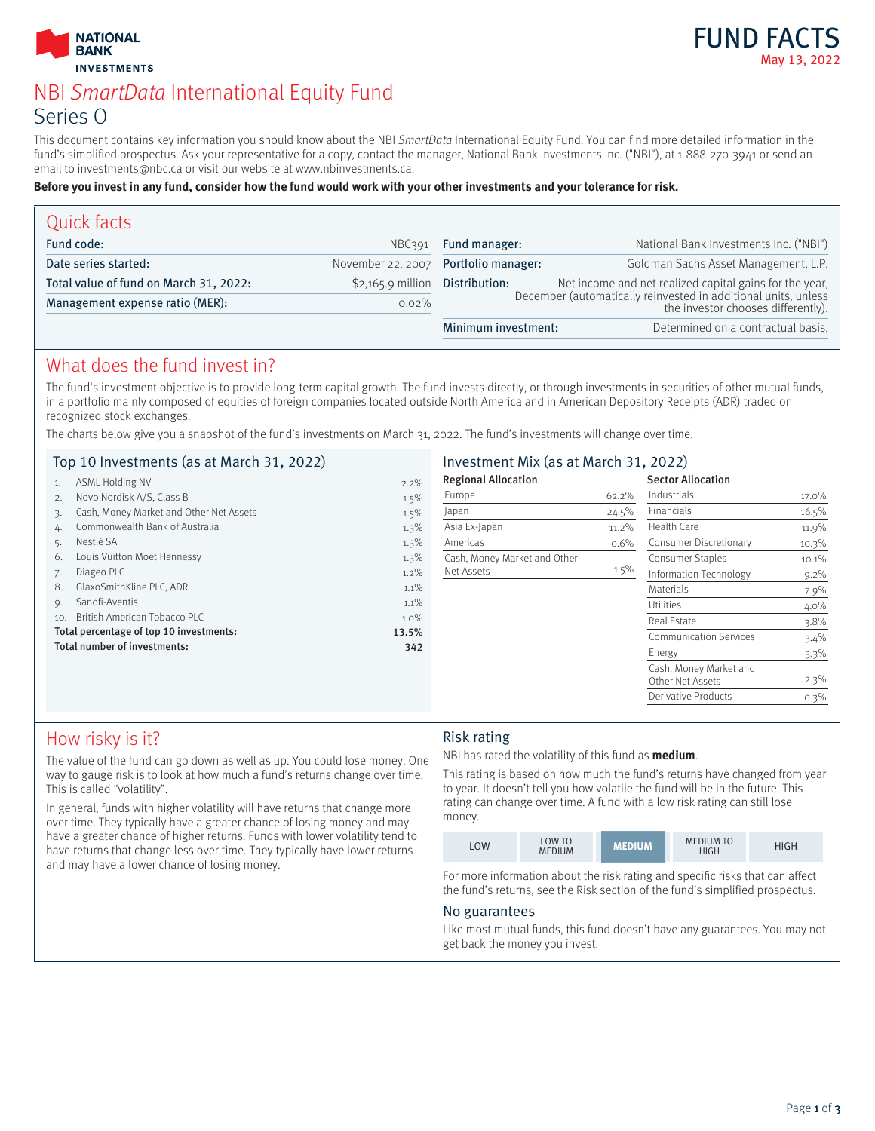



# NBI SmartData International Equity Fund Series O

This document contains key information you should know about the NBI SmartData International Equity Fund. You can find more detailed information in the fund's simplified prospectus. Ask your representative for a copy, contact the manager, National Bank Investments Inc. ("NBI"), at 1-888-270-3941 or send an email to investments@nbc.ca or visit our website at www.nbinvestments.ca.

#### **Before you invest in any fund, consider how the fund would work with your other investments and your tolerance for risk.**

| Quick facts                            |                    |                                      |                                                                                                      |  |  |
|----------------------------------------|--------------------|--------------------------------------|------------------------------------------------------------------------------------------------------|--|--|
| Fund code:                             | NBC391             | Fund manager:                        | National Bank Investments Inc. ("NBI")                                                               |  |  |
| Date series started:                   |                    | November 22, 2007 Portfolio manager: | Goldman Sachs Asset Management, L.P.                                                                 |  |  |
| Total value of fund on March 31, 2022: | $$2,165.9$ million | Distribution:                        | Net income and net realized capital gains for the year,                                              |  |  |
| Management expense ratio (MER):        | $0.02\%$           |                                      | December (automatically reinvested in additional units, unless<br>the investor chooses differently). |  |  |
|                                        |                    | Minimum investment:                  | Determined on a contractual basis.                                                                   |  |  |

# What does the fund invest in?

The fund's investment objective is to provide long-term capital growth. The fund invests directly, or through investments in securities of other mutual funds, in a portfolio mainly composed of equities of foreign companies located outside North America and in American Depository Receipts (ADR) traded on recognized stock exchanges.

The charts below give you a snapshot of the fund's investments on March 31, 2022. The fund's investments will change over time.

|     | Top 10 Investments (as at March 31, 2022) |         | Investment Mix (as at March 31, 2022) |         |                               |         |
|-----|-------------------------------------------|---------|---------------------------------------|---------|-------------------------------|---------|
|     | <b>ASML Holding NV</b>                    | $2.2\%$ | <b>Regional Allocation</b>            |         | <b>Sector Allocation</b>      |         |
|     | Novo Nordisk A/S, Class B                 | 1.5%    | Europe                                | 62.2%   | Industrials                   | 17.0%   |
|     | Cash, Money Market and Other Net Assets   | $1.5\%$ | Japan                                 | 24.5%   | Financials                    | 16.5%   |
|     | Commonwealth Bank of Australia            | 1.3%    | Asia Ex-Japan                         | 11.2%   | Health Care                   | 11.9%   |
|     | Nestlé SA                                 | 1.3%    | Americas                              | 0.6%    | Consumer Discretionary        | 10.3%   |
| 6.  | Louis Vuitton Moet Hennessy               | $1.3\%$ | Cash, Money Market and Other          |         | <b>Consumer Staples</b>       | 10.1%   |
|     | Diageo PLC                                | $1.2\%$ | Net Assets                            | $1.5\%$ | Information Technology        | $9.2\%$ |
| 8.  | GlaxoSmithKline PLC, ADR                  | 1.1%    |                                       |         | <b>Materials</b>              | 7.9%    |
| 9.  | Sanofi-Aventis                            | 1.1%    |                                       |         | <b>Utilities</b>              | 4.0%    |
| 10. | British American Tobacco PLC              | $1.0\%$ |                                       |         | Real Estate                   | $3.8\%$ |
|     | Total percentage of top 10 investments:   | 13.5%   |                                       |         | <b>Communication Services</b> | 3.4%    |
|     | Total number of investments:              | 342     |                                       |         | Energy                        | $3.3\%$ |
|     |                                           |         |                                       |         | Cash, Money Market and        |         |
|     |                                           |         |                                       |         | Other Net Assets              | $2.3\%$ |
|     |                                           |         |                                       |         | <b>Derivative Products</b>    | 0.3%    |

# How risky is it?

The value of the fund can go down as well as up. You could lose money. One way to gauge risk is to look at how much a fund's returns change over time. This is called "volatility".

In general, funds with higher volatility will have returns that change more over time. They typically have a greater chance of losing money and may have a greater chance of higher returns. Funds with lower volatility tend to have returns that change less over time. They typically have lower returns and may have a lower chance of losing money.

### Risk rating

NBI has rated the volatility of this fund as **medium**.

This rating is based on how much the fund's returns have changed from year to year. It doesn't tell you how volatile the fund will be in the future. This rating can change over time. A fund with a low risk rating can still lose money.

| .OW | LOW TO<br><b>MEDIUM</b> | <b>MEDIUM</b> | <b>MEDIUM TO</b><br>HIGH | IIGH |
|-----|-------------------------|---------------|--------------------------|------|

For more information about the risk rating and specific risks that can affect the fund's returns, see the Risk section of the fund's simplified prospectus.

### No guarantees

Like most mutual funds, this fund doesn't have any guarantees. You may not get back the money you invest.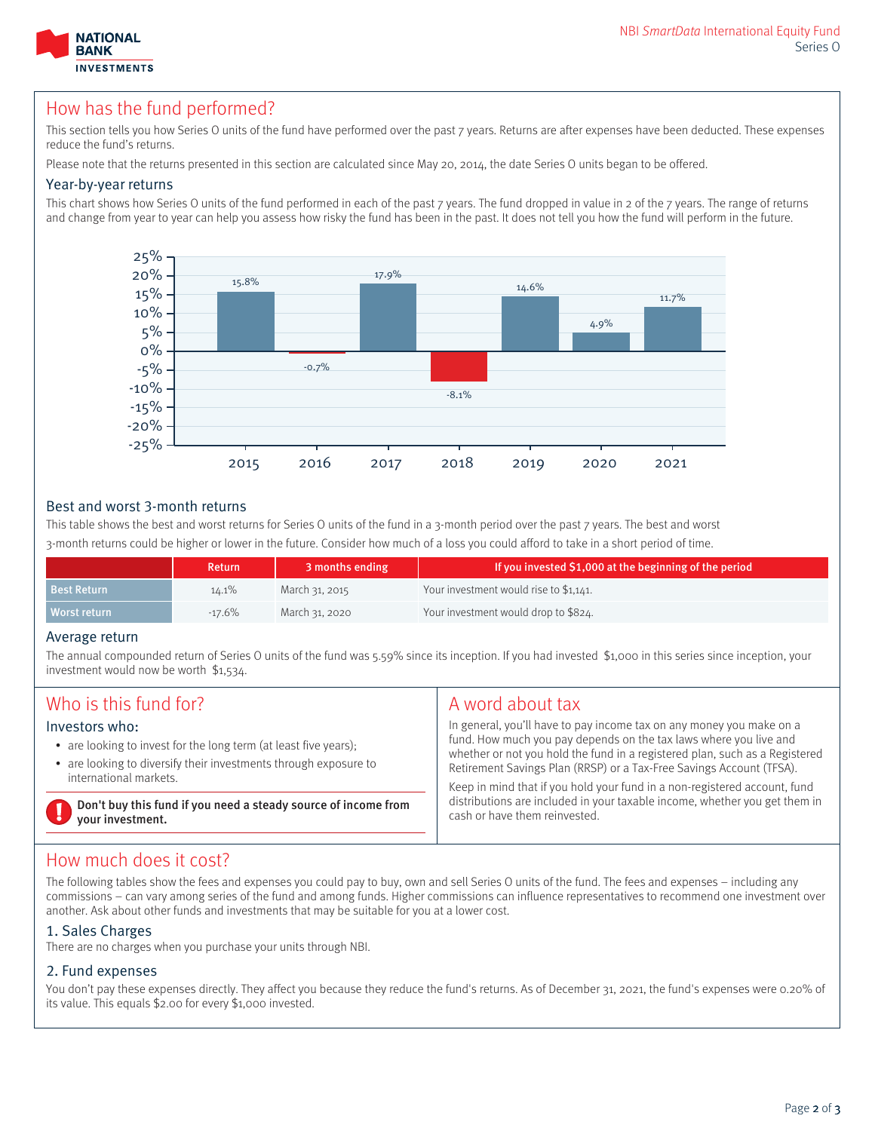

# How has the fund performed?

This section tells you how Series O units of the fund have performed over the past 7 years. Returns are after expenses have been deducted. These expenses reduce the fund's returns.

Please note that the returns presented in this section are calculated since May 20, 2014, the date Series O units began to be offered.

#### Year-by-year returns

This chart shows how Series O units of the fund performed in each of the past 7 years. The fund dropped in value in 2 of the 7 years. The range of returns and change from year to year can help you assess how risky the fund has been in the past. It does not tell you how the fund will perform in the future.



#### Best and worst 3-month returns

This table shows the best and worst returns for Series O units of the fund in a 3-month period over the past 7 years. The best and worst 3-month returns could be higher or lower in the future. Consider how much of a loss you could afford to take in a short period of time.

|                    | <b>Return</b> | 3 months ending | If you invested \$1,000 at the beginning of the period |
|--------------------|---------------|-----------------|--------------------------------------------------------|
| <b>Best Return</b> | $14.1\%$      | March 31, 2015  | Your investment would rise to \$1.141.                 |
| Worst return       | $-17.6\%$     | March 31, 2020  | Your investment would drop to \$824.                   |

#### Average return

The annual compounded return of Series O units of the fund was 5.59% since its inception. If you had invested \$1,000 in this series since inception, your investment would now be worth \$1,534.

| Who is this fund for?                                                                                                                                                            | A word about tax                                                                                                                                                                                                                                                                                                                                                                                                                                                                             |  |
|----------------------------------------------------------------------------------------------------------------------------------------------------------------------------------|----------------------------------------------------------------------------------------------------------------------------------------------------------------------------------------------------------------------------------------------------------------------------------------------------------------------------------------------------------------------------------------------------------------------------------------------------------------------------------------------|--|
| Investors who:<br>• are looking to invest for the long term (at least five years);<br>• are looking to diversify their investments through exposure to<br>international markets. | In general, you'll have to pay income tax on any money you make on a<br>fund. How much you pay depends on the tax laws where you live and<br>whether or not you hold the fund in a registered plan, such as a Registered<br>Retirement Savings Plan (RRSP) or a Tax-Free Savings Account (TFSA).<br>Keep in mind that if you hold your fund in a non-registered account, fund<br>distributions are included in your taxable income, whether you get them in<br>cash or have them reinvested. |  |
| Don't buy this fund if you need a steady source of income from<br>your investment.                                                                                               |                                                                                                                                                                                                                                                                                                                                                                                                                                                                                              |  |

### How much does it cost?

The following tables show the fees and expenses you could pay to buy, own and sell Series O units of the fund. The fees and expenses – including any commissions – can vary among series of the fund and among funds. Higher commissions can influence representatives to recommend one investment over another. Ask about other funds and investments that may be suitable for you at a lower cost.

### 1. Sales Charges

There are no charges when you purchase your units through NBI.

### 2. Fund expenses

You don't pay these expenses directly. They affect you because they reduce the fund's returns. As of December 31, 2021, the fund's expenses were 0.20% of its value. This equals \$2.00 for every \$1,000 invested.